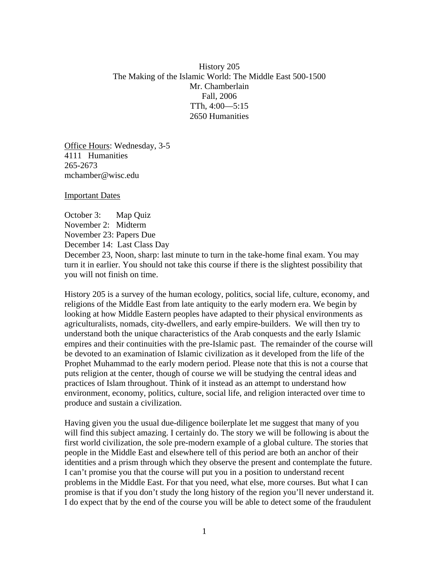History 205 The Making of the Islamic World: The Middle East 500-1500 Mr. Chamberlain Fall, 2006 TTh, 4:00—5:15 2650 Humanities

Office Hours: Wednesday, 3-5 4111 Humanities 265-2673 mchamber@wisc.edu

Important Dates

October 3: Map Quiz November 2: Midterm November 23: Papers Due December 14: Last Class Day December 23, Noon, sharp: last minute to turn in the take-home final exam. You may turn it in earlier. You should not take this course if there is the slightest possibility that you will not finish on time.

History 205 is a survey of the human ecology, politics, social life, culture, economy, and religions of the Middle East from late antiquity to the early modern era. We begin by looking at how Middle Eastern peoples have adapted to their physical environments as agriculturalists, nomads, city-dwellers, and early empire-builders. We will then try to understand both the unique characteristics of the Arab conquests and the early Islamic empires and their continuities with the pre-Islamic past. The remainder of the course will be devoted to an examination of Islamic civilization as it developed from the life of the Prophet Muhammad to the early modern period. Please note that this is not a course that puts religion at the center, though of course we will be studying the central ideas and practices of Islam throughout. Think of it instead as an attempt to understand how environment, economy, politics, culture, social life, and religion interacted over time to produce and sustain a civilization.

Having given you the usual due-diligence boilerplate let me suggest that many of you will find this subject amazing. I certainly do. The story we will be following is about the first world civilization, the sole pre-modern example of a global culture. The stories that people in the Middle East and elsewhere tell of this period are both an anchor of their identities and a prism through which they observe the present and contemplate the future. I can't promise you that the course will put you in a position to understand recent problems in the Middle East. For that you need, what else, more courses. But what I can promise is that if you don't study the long history of the region you'll never understand it. I do expect that by the end of the course you will be able to detect some of the fraudulent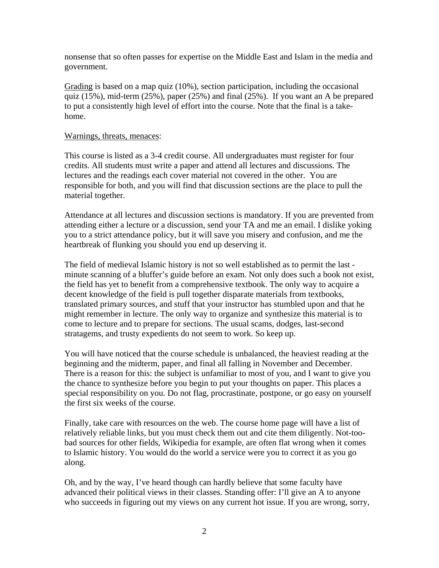nonsense that so often passes for expertise on the Middle East and Islam in the media and government.

Grading is based on a map quiz (10%), section participation, including the occasional quiz (15%), mid-term (25%), paper (25%) and final (25%). If you want an A be prepared to put a consistently high level of effort into the course. Note that the final is a takehome.

## Warnings, threats, menaces:

This course is listed as a 3-4 credit course. All undergraduates must register for four credits. All students must write a paper and attend all lectures and discussions. The lectures and the readings each cover material not covered in the other. You are responsible for both, and you will find that discussion sections are the place to pull the material together.

Attendance at all lectures and discussion sections is mandatory. If you are prevented from attending either a lecture or a discussion, send your TA and me an email. I dislike yoking you to a strict attendance policy, but it will save you misery and confusion, and me the heartbreak of flunking you should you end up deserving it.

The field of medieval Islamic history is not so well established as to permit the last minute scanning of a bluffer's guide before an exam. Not only does such a book not exist, the field has yet to benefit from a comprehensive textbook. The only way to acquire a decent knowledge of the field is pull together disparate materials from textbooks, translated primary sources, and stuff that your instructor has stumbled upon and that he might remember in lecture. The only way to organize and synthesize this material is to come to lecture and to prepare for sections. The usual scams, dodges, last-second stratagems, and trusty expedients do not seem to work. So keep up.

You will have noticed that the course schedule is unbalanced, the heaviest reading at the beginning and the midterm, paper, and final all falling in November and December. There is a reason for this: the subject is unfamiliar to most of you, and I want to give you the chance to synthesize before you begin to put your thoughts on paper. This places a special responsibility on you. Do not flag, procrastinate, postpone, or go easy on yourself the first six weeks of the course.

Finally, take care with resources on the web. The course home page will have a list of relatively reliable links, but you must check them out and cite them diligently. Not-toobad sources for other fields, Wikipedia for example, are often flat wrong when it comes to Islamic history. You would do the world a service were you to correct it as you go along.

Oh, and by the way, I've heard though can hardly believe that some faculty have advanced their political views in their classes. Standing offer: I'll give an A to anyone who succeeds in figuring out my views on any current hot issue. If you are wrong, sorry,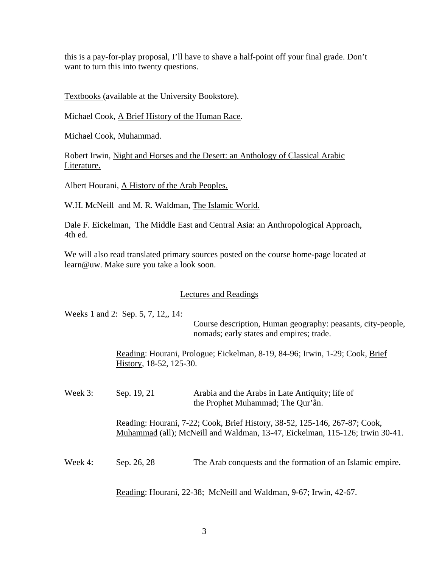this is a pay-for-play proposal, I'll have to shave a half-point off your final grade. Don't want to turn this into twenty questions.

Textbooks (available at the University Bookstore).

Michael Cook, A Brief History of the Human Race.

Michael Cook, Muhammad.

Robert Irwin, Night and Horses and the Desert: an Anthology of Classical Arabic Literature.

Albert Hourani, A History of the Arab Peoples.

W.H. McNeill and M. R. Waldman, The Islamic World.

Dale F. Eickelman, The Middle East and Central Asia: an Anthropological Approach, 4th ed.

We will also read translated primary sources posted on the course home-page located at learn@uw. Make sure you take a look soon.

## Lectures and Readings

Weeks 1 and 2: Sep. 5, 7, 12,, 14:

Course description, Human geography: peasants, city-people, nomads; early states and empires; trade.

Reading: Hourani, Prologue; Eickelman, 8-19, 84-96; Irwin, 1-29; Cook, Brief History, 18-52, 125-30.

Week 3: Sep. 19, 21 Arabia and the Arabs in Late Antiquity; life of the Prophet Muhammad; The Qur'ân. Reading: Hourani, 7-22; Cook, Brief History, 38-52, 125-146, 267-87; Cook, Muhammad (all); McNeill and Waldman, 13-47, Eickelman, 115-126; Irwin 30-41. Week 4: Sep. 26, 28 The Arab conquests and the formation of an Islamic empire.

Reading: Hourani, 22-38; McNeill and Waldman, 9-67; Irwin, 42-67.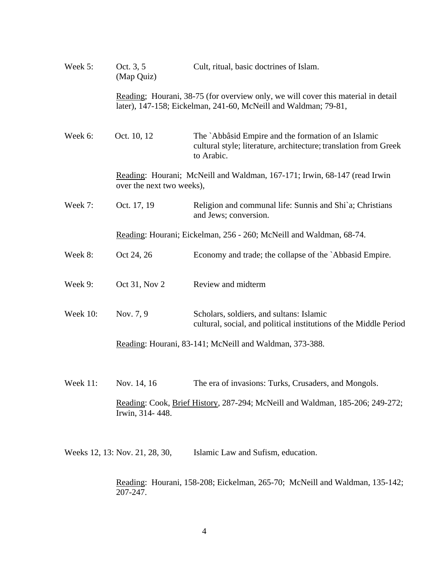| Week 5:              | Oct. 3, 5<br>(Map Quiz)                                                                                                                              | Cult, ritual, basic doctrines of Islam.                                                                                               |
|----------------------|------------------------------------------------------------------------------------------------------------------------------------------------------|---------------------------------------------------------------------------------------------------------------------------------------|
|                      | Reading; Hourani, 38-75 (for overview only, we will cover this material in detail<br>later), 147-158; Eickelman, 241-60, McNeill and Waldman; 79-81, |                                                                                                                                       |
| Week 6:              | Oct. 10, 12                                                                                                                                          | The `Abbâsid Empire and the formation of an Islamic<br>cultural style; literature, architecture; translation from Greek<br>to Arabic. |
|                      | Reading: Hourani; McNeill and Waldman, 167-171; Irwin, 68-147 (read Irwin)<br>over the next two weeks),                                              |                                                                                                                                       |
| Week 7:              | Oct. 17, 19                                                                                                                                          | Religion and communal life: Sunnis and Shi`a; Christians<br>and Jews; conversion.                                                     |
|                      | Reading: Hourani; Eickelman, 256 - 260; McNeill and Waldman, 68-74.                                                                                  |                                                                                                                                       |
| Week 8:              | Oct 24, 26                                                                                                                                           | Economy and trade; the collapse of the `Abbasid Empire.                                                                               |
| Week 9:              | Oct 31, Nov 2                                                                                                                                        | Review and midterm                                                                                                                    |
| <b>Week 10:</b>      | Nov. 7, 9                                                                                                                                            | Scholars, soldiers, and sultans: Islamic<br>cultural, social, and political institutions of the Middle Period                         |
|                      | Reading: Hourani, 83-141; McNeill and Waldman, 373-388.                                                                                              |                                                                                                                                       |
| Week 11: Nov. 14, 16 |                                                                                                                                                      | The era of invasions: Turks, Crusaders, and Mongols.                                                                                  |
|                      | Irwin, 314-448.                                                                                                                                      | Reading: Cook, Brief History, 287-294; McNeill and Waldman, 185-206; 249-272;                                                         |
|                      | Weeks 12, 13: Nov. 21, 28, 30,                                                                                                                       | Islamic Law and Sufism, education.                                                                                                    |

Reading: Hourani, 158-208; Eickelman, 265-70; McNeill and Waldman, 135-142;  $207 - 247$ .